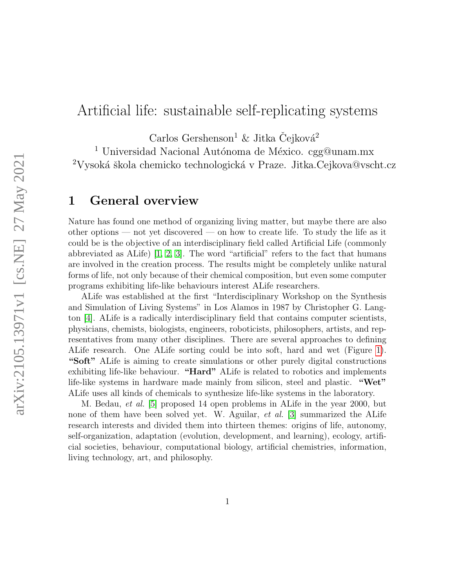# Artificial life: sustainable self-replicating systems

Carlos Gershenson<sup>1</sup> & Jitka Čejková<sup>2</sup>

<sup>1</sup> Universidad Nacional Autónoma de México. cgg@unam.mx <sup>2</sup>Vysoká škola chemicko technologická v Praze. Jitka.Cejkova@vscht.cz

# 1 General overview

Nature has found one method of organizing living matter, but maybe there are also other options — not yet discovered — on how to create life. To study the life as it could be is the objective of an interdisciplinary field called Artificial Life (commonly abbreviated as ALife) [\[1,](#page-4-0) [2,](#page-4-1) [3\]](#page-4-2). The word "artificial" refers to the fact that humans are involved in the creation process. The results might be completely unlike natural forms of life, not only because of their chemical composition, but even some computer programs exhibiting life-like behaviours interest ALife researchers.

ALife was established at the first "Interdisciplinary Workshop on the Synthesis and Simulation of Living Systems" in Los Alamos in 1987 by Christopher G. Langton [\[4\]](#page-5-0). ALife is a radically interdisciplinary field that contains computer scientists, physicians, chemists, biologists, engineers, roboticists, philosophers, artists, and representatives from many other disciplines. There are several approaches to defining ALife research. One ALife sorting could be into soft, hard and wet (Figure [1\)](#page-1-0). "Soft" ALife is aiming to create simulations or other purely digital constructions exhibiting life-like behaviour. "Hard" ALife is related to robotics and implements life-like systems in hardware made mainly from silicon, steel and plastic. "Wet" ALife uses all kinds of chemicals to synthesize life-like systems in the laboratory.

M. Bedau, et al. [\[5\]](#page-5-1) proposed 14 open problems in ALife in the year 2000, but none of them have been solved yet. W. Aguilar, et al. [\[3\]](#page-4-2) summarized the ALife research interests and divided them into thirteen themes: origins of life, autonomy, self-organization, adaptation (evolution, development, and learning), ecology, artificial societies, behaviour, computational biology, artificial chemistries, information, living technology, art, and philosophy.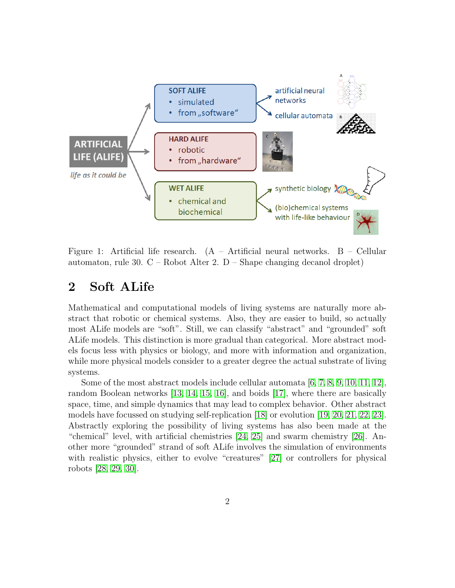

<span id="page-1-0"></span>Figure 1: Artificial life research.  $(A - Artificial neural networks. B - Cellular)$ automaton, rule 30. C – Robot Alter 2. D – Shape changing decanol droplet)

#### 2 Soft ALife

Mathematical and computational models of living systems are naturally more abstract that robotic or chemical systems. Also, they are easier to build, so actually most ALife models are "soft". Still, we can classify "abstract" and "grounded" soft ALife models. This distinction is more gradual than categorical. More abstract models focus less with physics or biology, and more with information and organization, while more physical models consider to a greater degree the actual substrate of living systems.

Some of the most abstract models include cellular automata [\[6,](#page-5-2) [7,](#page-5-3) [8,](#page-5-4) [9,](#page-5-5) [10,](#page-5-6) [11,](#page-5-7) [12\]](#page-5-8), random Boolean networks [\[13,](#page-5-9) [14,](#page-5-10) [15,](#page-6-0) [16\]](#page-6-1), and boids [\[17\]](#page-6-2), where there are basically space, time, and simple dynamics that may lead to complex behavior. Other abstract models have focussed on studying self-replication [\[18\]](#page-6-3) or evolution [\[19,](#page-6-4) [20,](#page-6-5) [21,](#page-6-6) [22,](#page-6-7) [23\]](#page-6-8). Abstractly exploring the possibility of living systems has also been made at the "chemical" level, with artificial chemistries [\[24,](#page-6-9) [25\]](#page-6-10) and swarm chemistry [\[26\]](#page-7-0). Another more "grounded" strand of soft ALife involves the simulation of environments with realistic physics, either to evolve "creatures" [\[27\]](#page-7-1) or controllers for physical robots [\[28,](#page-7-2) [29,](#page-7-3) [30\]](#page-7-4).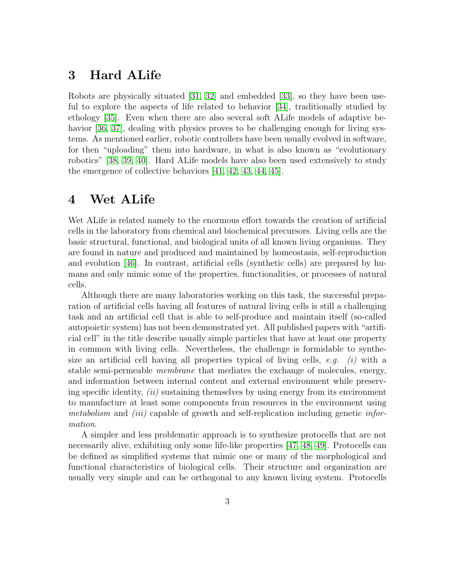## 3 Hard ALife

Robots are physically situated [\[31,](#page-7-5) [32\]](#page-7-6) and embedded [\[33\]](#page-7-7), so they have been useful to explore the aspects of life related to behavior [\[34\]](#page-7-8), traditionally studied by ethology [\[35\]](#page-7-9). Even when there are also several soft ALife models of adaptive be-havior [\[36,](#page-7-10) [37\]](#page-7-11), dealing with physics proves to be challenging enough for living systems. As mentioned earlier, robotic controllers have been usually evolved in software, for then "uploading" them into hardware, in what is also known as "evolutionary robotics" [\[38,](#page-7-12) [39,](#page-7-13) [40\]](#page-8-0). Hard ALife models have also been used extensively to study the emergence of collective behaviors [\[41,](#page-8-1) [42,](#page-8-2) [43,](#page-8-3) [44,](#page-8-4) [45\]](#page-8-5).

## 4 Wet ALife

Wet ALife is related namely to the enormous effort towards the creation of artificial cells in the laboratory from chemical and biochemical precursors. Living cells are the basic structural, functional, and biological units of all known living organisms. They are found in nature and produced and maintained by homeostasis, self-reproduction and evolution [\[46\]](#page-8-6). In contrast, artificial cells (synthetic cells) are prepared by humans and only mimic some of the properties, functionalities, or processes of natural cells.

Although there are many laboratories working on this task, the successful preparation of artificial cells having all features of natural living cells is still a challenging task and an artificial cell that is able to self-produce and maintain itself (so-called autopoietic system) has not been demonstrated yet. All published papers with "artificial cell" in the title describe usually simple particles that have at least one property in common with living cells. Nevertheless, the challenge is formidable to synthesize an artificial cell having all properties typical of living cells, e.g.  $(i)$  with a stable semi-permeable membrane that mediates the exchange of molecules, energy, and information between internal content and external environment while preserving specific identity,  $(ii)$  sustaining themselves by using energy from its environment to manufacture at least some components from resources in the environment using metabolism and *(iii)* capable of growth and self-replication including genetic *infor*mation.

A simpler and less problematic approach is to synthesize protocells that are not necessarily alive, exhibiting only some life-like properties [\[47,](#page-8-7) [48,](#page-8-8) [49\]](#page-8-9). Protocells can be defined as simplified systems that mimic one or many of the morphological and functional characteristics of biological cells. Their structure and organization are usually very simple and can be orthogonal to any known living system. Protocells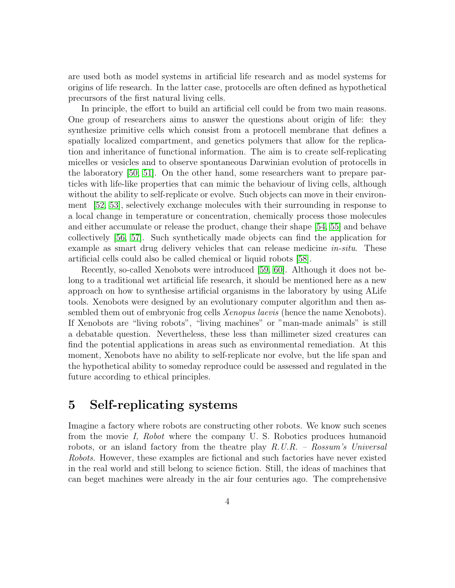are used both as model systems in artificial life research and as model systems for origins of life research. In the latter case, protocells are often defined as hypothetical precursors of the first natural living cells.

In principle, the effort to build an artificial cell could be from two main reasons. One group of researchers aims to answer the questions about origin of life: they synthesize primitive cells which consist from a protocell membrane that defines a spatially localized compartment, and genetics polymers that allow for the replication and inheritance of functional information. The aim is to create self-replicating micelles or vesicles and to observe spontaneous Darwinian evolution of protocells in the laboratory [\[50,](#page-9-0) [51\]](#page-9-1). On the other hand, some researchers want to prepare particles with life-like properties that can mimic the behaviour of living cells, although without the ability to self-replicate or evolve. Such objects can move in their environment [\[52,](#page-9-2) [53\]](#page-9-3), selectively exchange molecules with their surrounding in response to a local change in temperature or concentration, chemically process those molecules and either accumulate or release the product, change their shape [\[54,](#page-9-4) [55\]](#page-9-5) and behave collectively [\[56,](#page-9-6) [57\]](#page-9-7). Such synthetically made objects can find the application for example as smart drug delivery vehicles that can release medicine *in-situ*. These artificial cells could also be called chemical or liquid robots [\[58\]](#page-9-8).

Recently, so-called Xenobots were introduced [\[59,](#page-9-9) [60\]](#page-9-10). Although it does not belong to a traditional wet artificial life research, it should be mentioned here as a new approach on how to synthesise artificial organisms in the laboratory by using ALife tools. Xenobots were designed by an evolutionary computer algorithm and then assembled them out of embryonic frog cells Xenopus laevis (hence the name Xenobots). If Xenobots are "living robots", "living machines" or "man-made animals" is still a debatable question. Nevertheless, these less than millimeter sized creatures can find the potential applications in areas such as environmental remediation. At this moment, Xenobots have no ability to self-replicate nor evolve, but the life span and the hypothetical ability to someday reproduce could be assessed and regulated in the future according to ethical principles.

# 5 Self-replicating systems

Imagine a factory where robots are constructing other robots. We know such scenes from the movie I, Robot where the company U. S. Robotics produces humanoid robots, or an island factory from the theatre play  $R.U.R.$  – Rossum's Universal Robots. However, these examples are fictional and such factories have never existed in the real world and still belong to science fiction. Still, the ideas of machines that can beget machines were already in the air four centuries ago. The comprehensive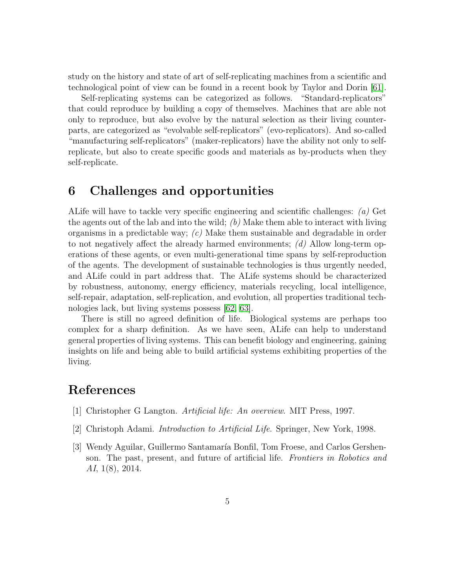study on the history and state of art of self-replicating machines from a scientific and technological point of view can be found in a recent book by Taylor and Dorin [\[61\]](#page-10-0).

Self-replicating systems can be categorized as follows. "Standard-replicators" that could reproduce by building a copy of themselves. Machines that are able not only to reproduce, but also evolve by the natural selection as their living counterparts, are categorized as "evolvable self-replicators" (evo-replicators). And so-called "manufacturing self-replicators" (maker-replicators) have the ability not only to selfreplicate, but also to create specific goods and materials as by-products when they self-replicate.

#### 6 Challenges and opportunities

ALife will have to tackle very specific engineering and scientific challenges: (a) Get the agents out of the lab and into the wild;  $(b)$  Make them able to interact with living organisms in a predictable way; (c) Make them sustainable and degradable in order to not negatively affect the already harmed environments;  $(d)$  Allow long-term operations of these agents, or even multi-generational time spans by self-reproduction of the agents. The development of sustainable technologies is thus urgently needed, and ALife could in part address that. The ALife systems should be characterized by robustness, autonomy, energy efficiency, materials recycling, local intelligence, self-repair, adaptation, self-replication, and evolution, all properties traditional technologies lack, but living systems possess [\[62,](#page-10-1) [63\]](#page-10-2).

There is still no agreed definition of life. Biological systems are perhaps too complex for a sharp definition. As we have seen, ALife can help to understand general properties of living systems. This can benefit biology and engineering, gaining insights on life and being able to build artificial systems exhibiting properties of the living.

# References

- <span id="page-4-0"></span>[1] Christopher G Langton. Artificial life: An overview. MIT Press, 1997.
- <span id="page-4-1"></span>[2] Christoph Adami. Introduction to Artificial Life. Springer, New York, 1998.
- <span id="page-4-2"></span>[3] Wendy Aguilar, Guillermo Santamaría Bonfil, Tom Froese, and Carlos Gershenson. The past, present, and future of artificial life. Frontiers in Robotics and AI, 1(8), 2014.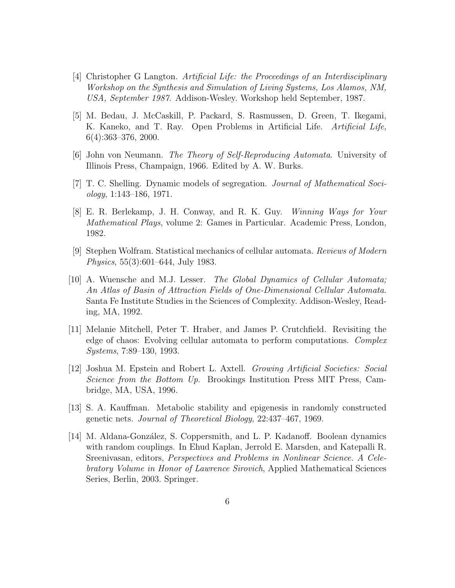- <span id="page-5-0"></span>[4] Christopher G Langton. Artificial Life: the Proceedings of an Interdisciplinary Workshop on the Synthesis and Simulation of Living Systems, Los Alamos, NM, USA, September 1987. Addison-Wesley. Workshop held September, 1987.
- <span id="page-5-1"></span>[5] M. Bedau, J. McCaskill, P. Packard, S. Rasmussen, D. Green, T. Ikegami, K. Kaneko, and T. Ray. Open Problems in Artificial Life. Artificial Life, 6(4):363–376, 2000.
- <span id="page-5-2"></span>[6] John von Neumann. The Theory of Self-Reproducing Automata. University of Illinois Press, Champaign, 1966. Edited by A. W. Burks.
- <span id="page-5-3"></span>[7] T. C. Shelling. Dynamic models of segregation. Journal of Mathematical Sociology, 1:143–186, 1971.
- <span id="page-5-4"></span>[8] E. R. Berlekamp, J. H. Conway, and R. K. Guy. Winning Ways for Your Mathematical Plays, volume 2: Games in Particular. Academic Press, London, 1982.
- <span id="page-5-5"></span>[9] Stephen Wolfram. Statistical mechanics of cellular automata. Reviews of Modern Physics, 55(3):601–644, July 1983.
- <span id="page-5-6"></span>[10] A. Wuensche and M.J. Lesser. The Global Dynamics of Cellular Automata; An Atlas of Basin of Attraction Fields of One-Dimensional Cellular Automata. Santa Fe Institute Studies in the Sciences of Complexity. Addison-Wesley, Reading, MA, 1992.
- <span id="page-5-7"></span>[11] Melanie Mitchell, Peter T. Hraber, and James P. Crutchfield. Revisiting the edge of chaos: Evolving cellular automata to perform computations. Complex Systems, 7:89–130, 1993.
- <span id="page-5-8"></span>[12] Joshua M. Epstein and Robert L. Axtell. Growing Artificial Societies: Social Science from the Bottom Up. Brookings Institution Press MIT Press, Cambridge, MA, USA, 1996.
- <span id="page-5-9"></span>[13] S. A. Kauffman. Metabolic stability and epigenesis in randomly constructed genetic nets. Journal of Theoretical Biology, 22:437–467, 1969.
- <span id="page-5-10"></span>[14] M. Aldana-González, S. Coppersmith, and L. P. Kadanoff. Boolean dynamics with random couplings. In Ehud Kaplan, Jerrold E. Marsden, and Katepalli R. Sreenivasan, editors, Perspectives and Problems in Nonlinear Science. A Celebratory Volume in Honor of Lawrence Sirovich, Applied Mathematical Sciences Series, Berlin, 2003. Springer.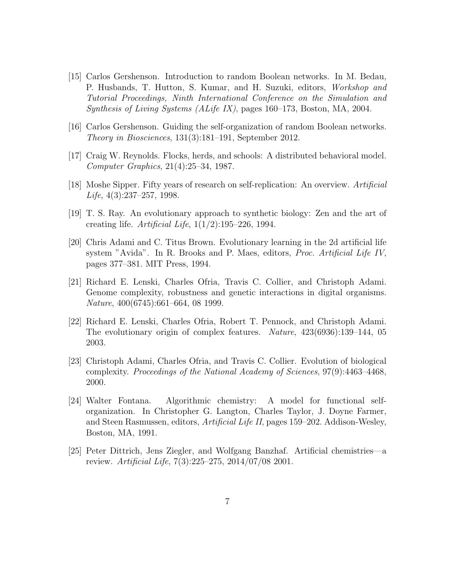- <span id="page-6-0"></span>[15] Carlos Gershenson. Introduction to random Boolean networks. In M. Bedau, P. Husbands, T. Hutton, S. Kumar, and H. Suzuki, editors, Workshop and Tutorial Proceedings, Ninth International Conference on the Simulation and Synthesis of Living Systems (ALife IX), pages 160–173, Boston, MA, 2004.
- <span id="page-6-1"></span>[16] Carlos Gershenson. Guiding the self-organization of random Boolean networks. Theory in Biosciences, 131(3):181–191, September 2012.
- <span id="page-6-2"></span>[17] Craig W. Reynolds. Flocks, herds, and schools: A distributed behavioral model. Computer Graphics, 21(4):25–34, 1987.
- <span id="page-6-3"></span>[18] Moshe Sipper. Fifty years of research on self-replication: An overview. Artificial  $Life, 4(3):237-257, 1998.$
- <span id="page-6-4"></span>[19] T. S. Ray. An evolutionary approach to synthetic biology: Zen and the art of creating life. Artificial Life,  $1(1/2)$ :195–226, 1994.
- <span id="page-6-5"></span>[20] Chris Adami and C. Titus Brown. Evolutionary learning in the 2d artificial life system "Avida". In R. Brooks and P. Maes, editors, Proc. Artificial Life IV, pages 377–381. MIT Press, 1994.
- <span id="page-6-6"></span>[21] Richard E. Lenski, Charles Ofria, Travis C. Collier, and Christoph Adami. Genome complexity, robustness and genetic interactions in digital organisms. Nature, 400(6745):661–664, 08 1999.
- <span id="page-6-7"></span>[22] Richard E. Lenski, Charles Ofria, Robert T. Pennock, and Christoph Adami. The evolutionary origin of complex features. Nature, 423(6936):139–144, 05 2003.
- <span id="page-6-8"></span>[23] Christoph Adami, Charles Ofria, and Travis C. Collier. Evolution of biological complexity. Proceedings of the National Academy of Sciences, 97(9):4463–4468, 2000.
- <span id="page-6-9"></span>[24] Walter Fontana. Algorithmic chemistry: A model for functional selforganization. In Christopher G. Langton, Charles Taylor, J. Doyne Farmer, and Steen Rasmussen, editors, Artificial Life II, pages 159–202. Addison-Wesley, Boston, MA, 1991.
- <span id="page-6-10"></span>[25] Peter Dittrich, Jens Ziegler, and Wolfgang Banzhaf. Artificial chemistries—a review. Artificial Life, 7(3):225–275, 2014/07/08 2001.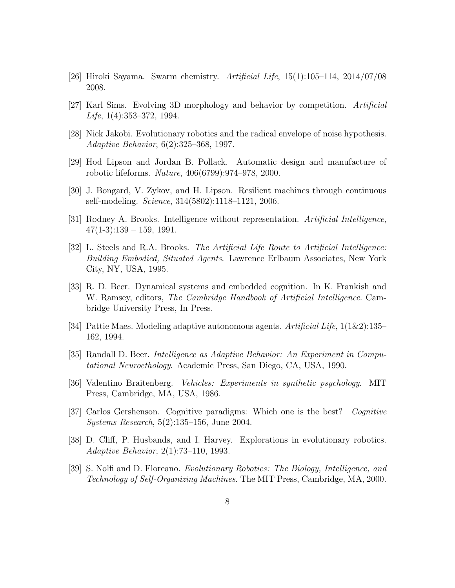- <span id="page-7-0"></span>[26] Hiroki Sayama. Swarm chemistry. Artificial Life, 15(1):105–114, 2014/07/08 2008.
- <span id="page-7-1"></span>[27] Karl Sims. Evolving 3D morphology and behavior by competition. Artificial Life,  $1(4)$ :353–372, 1994.
- <span id="page-7-2"></span>[28] Nick Jakobi. Evolutionary robotics and the radical envelope of noise hypothesis. Adaptive Behavior, 6(2):325–368, 1997.
- <span id="page-7-3"></span>[29] Hod Lipson and Jordan B. Pollack. Automatic design and manufacture of robotic lifeforms. Nature, 406(6799):974–978, 2000.
- <span id="page-7-4"></span>[30] J. Bongard, V. Zykov, and H. Lipson. Resilient machines through continuous self-modeling. Science, 314(5802):1118–1121, 2006.
- <span id="page-7-5"></span>[31] Rodney A. Brooks. Intelligence without representation. Artificial Intelligence,  $47(1-3):139-159, 1991.$
- <span id="page-7-6"></span>[32] L. Steels and R.A. Brooks. The Artificial Life Route to Artificial Intelligence: Building Embodied, Situated Agents. Lawrence Erlbaum Associates, New York City, NY, USA, 1995.
- <span id="page-7-7"></span>[33] R. D. Beer. Dynamical systems and embedded cognition. In K. Frankish and W. Ramsey, editors, The Cambridge Handbook of Artificial Intelligence. Cambridge University Press, In Press.
- <span id="page-7-8"></span>[34] Pattie Maes. Modeling adaptive autonomous agents. Artificial Life, 1(1&2):135– 162, 1994.
- <span id="page-7-9"></span>[35] Randall D. Beer. Intelligence as Adaptive Behavior: An Experiment in Computational Neuroethology. Academic Press, San Diego, CA, USA, 1990.
- <span id="page-7-10"></span>[36] Valentino Braitenberg. Vehicles: Experiments in synthetic psychology. MIT Press, Cambridge, MA, USA, 1986.
- <span id="page-7-11"></span>[37] Carlos Gershenson. Cognitive paradigms: Which one is the best? Cognitive Systems Research, 5(2):135–156, June 2004.
- <span id="page-7-12"></span>[38] D. Cliff, P. Husbands, and I. Harvey. Explorations in evolutionary robotics. Adaptive Behavior, 2(1):73–110, 1993.
- <span id="page-7-13"></span>[39] S. Nolfi and D. Floreano. Evolutionary Robotics: The Biology, Intelligence, and Technology of Self-Organizing Machines. The MIT Press, Cambridge, MA, 2000.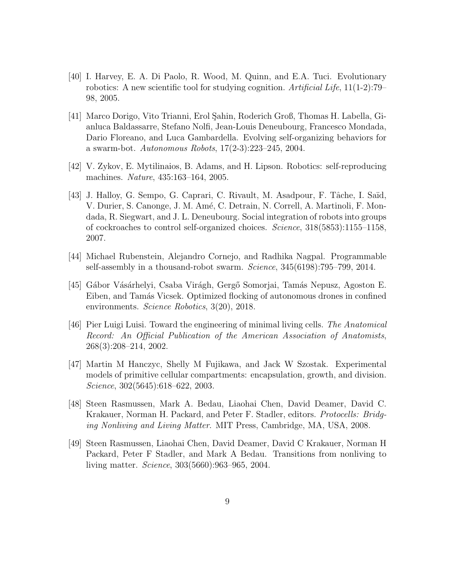- <span id="page-8-0"></span>[40] I. Harvey, E. A. Di Paolo, R. Wood, M. Quinn, and E.A. Tuci. Evolutionary robotics: A new scientific tool for studying cognition. Artificial Life,  $11(1-2)$ :79– 98, 2005.
- <span id="page-8-1"></span>[41] Marco Dorigo, Vito Trianni, Erol Sahin, Roderich Groß, Thomas H. Labella, Gianluca Baldassarre, Stefano Nolfi, Jean-Louis Deneubourg, Francesco Mondada, Dario Floreano, and Luca Gambardella. Evolving self-organizing behaviors for a swarm-bot. Autonomous Robots, 17(2-3):223–245, 2004.
- <span id="page-8-2"></span>[42] V. Zykov, E. Mytilinaios, B. Adams, and H. Lipson. Robotics: self-reproducing machines. Nature, 435:163–164, 2005.
- <span id="page-8-3"></span>[43] J. Halloy, G. Sempo, G. Caprari, C. Rivault, M. Asadpour, F. Tâche, I. Saïd, V. Durier, S. Canonge, J. M. Am´e, C. Detrain, N. Correll, A. Martinoli, F. Mondada, R. Siegwart, and J. L. Deneubourg. Social integration of robots into groups of cockroaches to control self-organized choices. Science, 318(5853):1155–1158, 2007.
- <span id="page-8-4"></span>[44] Michael Rubenstein, Alejandro Cornejo, and Radhika Nagpal. Programmable self-assembly in a thousand-robot swarm. Science, 345(6198):795–799, 2014.
- <span id="page-8-5"></span>[45] Gábor Vásárhelyi, Csaba Virágh, Gergő Somorjai, Tamás Nepusz, Agoston E. Eiben, and Tam´as Vicsek. Optimized flocking of autonomous drones in confined environments. Science Robotics, 3(20), 2018.
- <span id="page-8-6"></span>[46] Pier Luigi Luisi. Toward the engineering of minimal living cells. The Anatomical Record: An Official Publication of the American Association of Anatomists, 268(3):208–214, 2002.
- <span id="page-8-7"></span>[47] Martin M Hanczyc, Shelly M Fujikawa, and Jack W Szostak. Experimental models of primitive cellular compartments: encapsulation, growth, and division. Science, 302(5645):618–622, 2003.
- <span id="page-8-8"></span>[48] Steen Rasmussen, Mark A. Bedau, Liaohai Chen, David Deamer, David C. Krakauer, Norman H. Packard, and Peter F. Stadler, editors. Protocells: Bridging Nonliving and Living Matter. MIT Press, Cambridge, MA, USA, 2008.
- <span id="page-8-9"></span>[49] Steen Rasmussen, Liaohai Chen, David Deamer, David C Krakauer, Norman H Packard, Peter F Stadler, and Mark A Bedau. Transitions from nonliving to living matter. Science, 303(5660):963–965, 2004.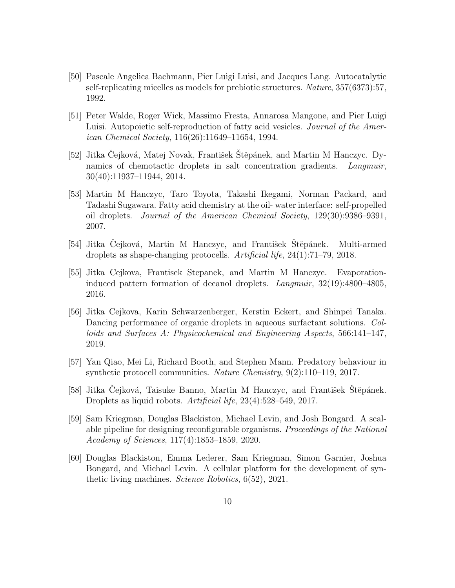- <span id="page-9-0"></span>[50] Pascale Angelica Bachmann, Pier Luigi Luisi, and Jacques Lang. Autocatalytic self-replicating micelles as models for prebiotic structures. Nature, 357(6373):57, 1992.
- <span id="page-9-1"></span>[51] Peter Walde, Roger Wick, Massimo Fresta, Annarosa Mangone, and Pier Luigi Luisi. Autopoietic self-reproduction of fatty acid vesicles. *Journal of the Amer*ican Chemical Society, 116(26):11649–11654, 1994.
- <span id="page-9-2"></span>[52] Jitka Čejková, Matej Novak, František Štěpánek, and Martin M Hanczyc. Dynamics of chemotactic droplets in salt concentration gradients. Langmuir, 30(40):11937–11944, 2014.
- <span id="page-9-3"></span>[53] Martin M Hanczyc, Taro Toyota, Takashi Ikegami, Norman Packard, and Tadashi Sugawara. Fatty acid chemistry at the oil- water interface: self-propelled oil droplets. Journal of the American Chemical Society, 129(30):9386–9391, 2007.
- <span id="page-9-4"></span>[54] Jitka Cejková, Martin M Hanczyc, and František Stěpánek. Multi-armed droplets as shape-changing protocells. Artificial life, 24(1):71–79, 2018.
- <span id="page-9-5"></span>[55] Jitka Cejkova, Frantisek Stepanek, and Martin M Hanczyc. Evaporationinduced pattern formation of decanol droplets. Langmuir, 32(19):4800–4805, 2016.
- <span id="page-9-6"></span>[56] Jitka Cejkova, Karin Schwarzenberger, Kerstin Eckert, and Shinpei Tanaka. Dancing performance of organic droplets in aqueous surfactant solutions. Colloids and Surfaces A: Physicochemical and Engineering Aspects, 566:141–147, 2019.
- <span id="page-9-7"></span>[57] Yan Qiao, Mei Li, Richard Booth, and Stephen Mann. Predatory behaviour in synthetic protocell communities. Nature Chemistry, 9(2):110–119, 2017.
- <span id="page-9-8"></span>[58] Jitka Cejková, Taisuke Banno, Martin M Hanczyc, and František Stěpánek. Droplets as liquid robots. Artificial life, 23(4):528–549, 2017.
- <span id="page-9-9"></span>[59] Sam Kriegman, Douglas Blackiston, Michael Levin, and Josh Bongard. A scalable pipeline for designing reconfigurable organisms. Proceedings of the National Academy of Sciences, 117(4):1853–1859, 2020.
- <span id="page-9-10"></span>[60] Douglas Blackiston, Emma Lederer, Sam Kriegman, Simon Garnier, Joshua Bongard, and Michael Levin. A cellular platform for the development of synthetic living machines. Science Robotics, 6(52), 2021.